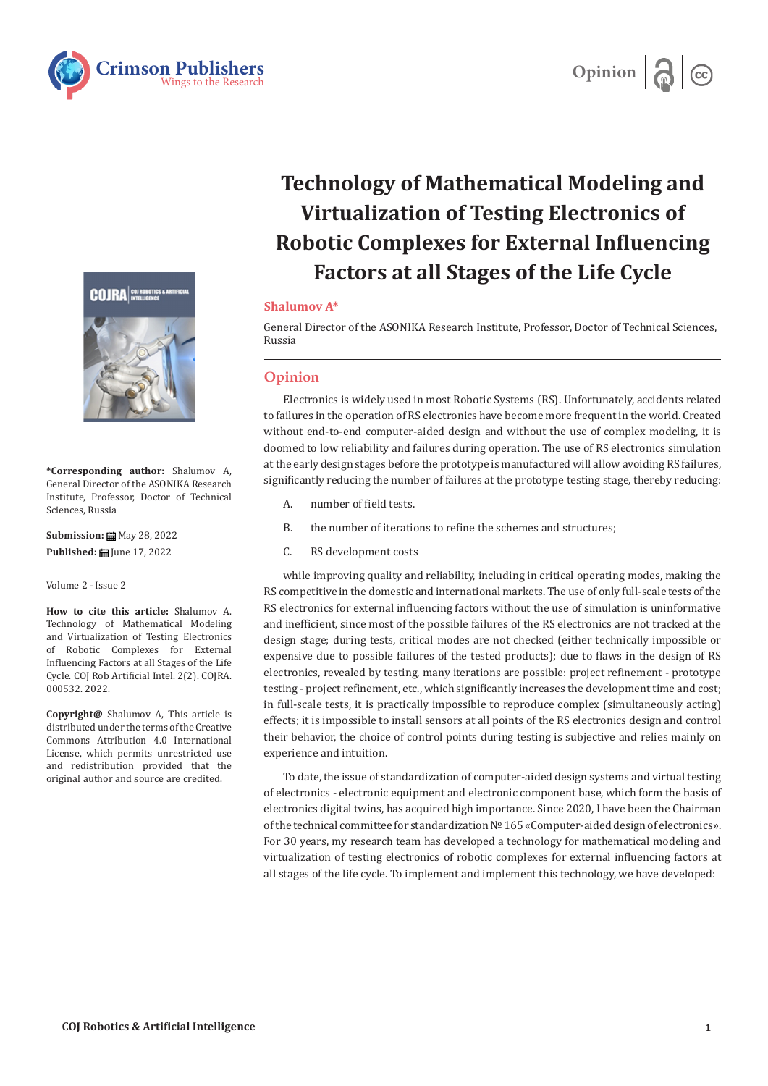



## **Technology of Mathematical Modeling and Virtualization of Testing Electronics of Robotic Complexes for External Influencing Factors at all Stages of the Life Cycle**

## **Shalumov A\***

General Director of the ASONIKA Research Institute, Professor, Doctor of Technical Sciences, Russia

## **Opinion**

Electronics is widely used in most Robotic Systems (RS). Unfortunately, accidents related to failures in the operation of RS electronics have become more frequent in the world. Created without end-to-end computer-aided design and without the use of complex modeling, it is doomed to low reliability and failures during operation. The use of RS electronics simulation at the early design stages before the prototype is manufactured will allow avoiding RS failures, significantly reducing the number of failures at the prototype testing stage, thereby reducing:

- A. number of field tests.
- B. the number of iterations to refine the schemes and structures;
- C. RS development costs

while improving quality and reliability, including in critical operating modes, making the RS competitive in the domestic and international markets. The use of only full-scale tests of the RS electronics for external influencing factors without the use of simulation is uninformative and inefficient, since most of the possible failures of the RS electronics are not tracked at the design stage; during tests, critical modes are not checked (either technically impossible or expensive due to possible failures of the tested products); due to flaws in the design of RS electronics, revealed by testing, many iterations are possible: project refinement - prototype testing - project refinement, etc., which significantly increases the development time and cost; in full-scale tests, it is practically impossible to reproduce complex (simultaneously acting) effects; it is impossible to install sensors at all points of the RS electronics design and control their behavior, the choice of control points during testing is subjective and relies mainly on experience and intuition.

To date, the issue of standardization of computer-aided design systems and virtual testing of electronics - electronic equipment and electronic component base, which form the basis of electronics digital twins, has acquired high importance. Since 2020, I have been the Chairman of the technical committee for standardization № 165 «Computer-aided design of electronics». For 30 years, my research team has developed a technology for mathematical modeling and virtualization of testing electronics of robotic complexes for external influencing factors at all stages of the life cycle. To implement and implement this technology, we have developed:

**COJRA** 



**\*Corresponding author:** Shalumov A, General Director of the ASONIKA Research Institute, Professor, Doctor of Technical Sciences, Russia

**Submission:** May 28, 2022 Published: **iii** June 17, 2022

Volume 2 - Issue 2

**How to cite this article:** Shalumov A. Technology of Mathematical Modeling and Virtualization of Testing Electronics of Robotic Complexes for External Influencing Factors at all Stages of the Life Cycle. COJ Rob Artificial Intel. 2(2). COJRA. 000532. 2022.

**Copyright@** Shalumov A, This article is distributed under the terms of the Creative Commons Attribution 4.0 International License, which permits unrestricted use and redistribution provided that the original author and source are credited.